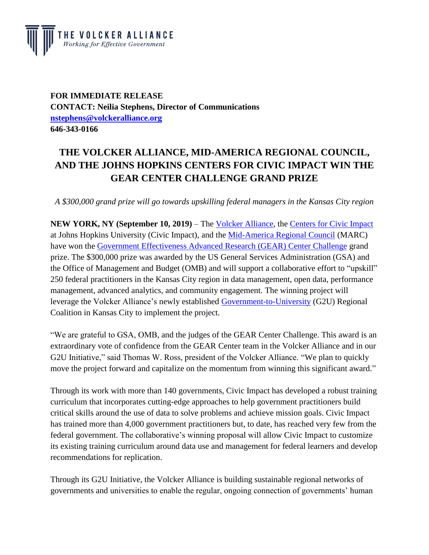

**FOR IMMEDIATE RELEASE CONTACT: Neilia Stephens, Director of Communications [nstephens@volckeralliance.org](mailto:nstephens@volckeralliance.org) 646-343-0166**

## **THE VOLCKER ALLIANCE, MID-AMERICA REGIONAL COUNCIL, AND THE JOHNS HOPKINS CENTERS FOR CIVIC IMPACT WIN THE GEAR CENTER CHALLENGE GRAND PRIZE**

*A \$300,000 grand prize will go towards upskilling federal managers in the Kansas City region*

**NEW YORK, NY (September 10, 2019)** – The [Volcker Alliance,](http://www.volckeralliance.org/) the [Centers for Civic Impact](https://civicimpact.jhu.edu/) at Johns Hopkins University (Civic Impact), and the [Mid-America Regional Council](http://www.marc.org/) (MARC) have won the [Government Effectiveness Advanced Research \(GEAR\) Center Challenge](https://www.performance.gov/GEARcenter/) grand prize. The \$300,000 prize was awarded by the US General Services Administration (GSA) and the Office of Management and Budget (OMB) and will support a collaborative effort to "upskill" 250 federal practitioners in the Kansas City region in data management, open data, performance management, advanced analytics, and community engagement. The winning project will leverage the Volcker Alliance's newly established [Government-to-University](https://www.volckeralliance.org/projects/government-university-initiative) (G2U) Regional Coalition in Kansas City to implement the project.

"We are grateful to GSA, OMB, and the judges of the GEAR Center Challenge. This award is an extraordinary vote of confidence from the GEAR Center team in the Volcker Alliance and in our G2U Initiative," said Thomas W. Ross, president of the Volcker Alliance. "We plan to quickly move the project forward and capitalize on the momentum from winning this significant award."

Through its work with more than 140 governments, Civic Impact has developed a robust training curriculum that incorporates cutting-edge approaches to help government practitioners build critical skills around the use of data to solve problems and achieve mission goals. Civic Impact has trained more than 4,000 government practitioners but, to date, has reached very few from the federal government. The collaborative's winning proposal will allow Civic Impact to customize its existing training curriculum around data use and management for federal learners and develop recommendations for replication.

Through its G2U Initiative, the Volcker Alliance is building sustainable regional networks of governments and universities to enable the regular, ongoing connection of governments' human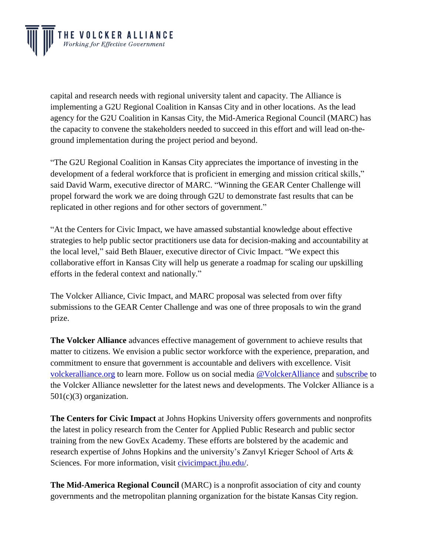

capital and research needs with regional university talent and capacity. The Alliance is implementing a G2U Regional Coalition in Kansas City and in other locations. As the lead agency for the G2U Coalition in Kansas City, the Mid-America Regional Council (MARC) has the capacity to convene the stakeholders needed to succeed in this effort and will lead on-theground implementation during the project period and beyond.

"The G2U Regional Coalition in Kansas City appreciates the importance of investing in the development of a federal workforce that is proficient in emerging and mission critical skills," said David Warm, executive director of MARC. "Winning the GEAR Center Challenge will propel forward the work we are doing through G2U to demonstrate fast results that can be replicated in other regions and for other sectors of government."

"At the Centers for Civic Impact, we have amassed substantial knowledge about effective strategies to help public sector practitioners use data for decision-making and accountability at the local level," said Beth Blauer, executive director of Civic Impact. "We expect this collaborative effort in Kansas City will help us generate a roadmap for scaling our upskilling efforts in the federal context and nationally."

The Volcker Alliance, Civic Impact, and MARC proposal was selected from over fifty submissions to the GEAR Center Challenge and was one of three proposals to win the grand prize.

**The Volcker Alliance** advances effective management of government to achieve results that matter to citizens. We envision a public sector workforce with the experience, preparation, and commitment to ensure that government is accountable and delivers with excellence. Visit [volckeralliance.org](http://www.volckeralliance.org/) to learn more. Follow us on social media [@VolckerAlliance](https://twitter.com/VolckerAlliance) and [subscribe](https://www.volckeralliance.org/get-involved/subscribe) to the Volcker Alliance newsletter for the latest news and developments. The Volcker Alliance is a  $501(c)(3)$  organization.

**The Centers for Civic Impact** at Johns Hopkins University offers governments and nonprofits the latest in policy research from the Center for Applied Public Research and public sector training from the new GovEx Academy. These efforts are bolstered by the academic and research expertise of Johns Hopkins and the university's Zanvyl Krieger School of Arts & Sciences. For more information, visit [civicimpact.jhu.edu/.](https://civicimpact.jhu.edu/)

**The Mid-America Regional Council** (MARC) is a nonprofit association of city and county governments and the metropolitan planning organization for the bistate Kansas City region.